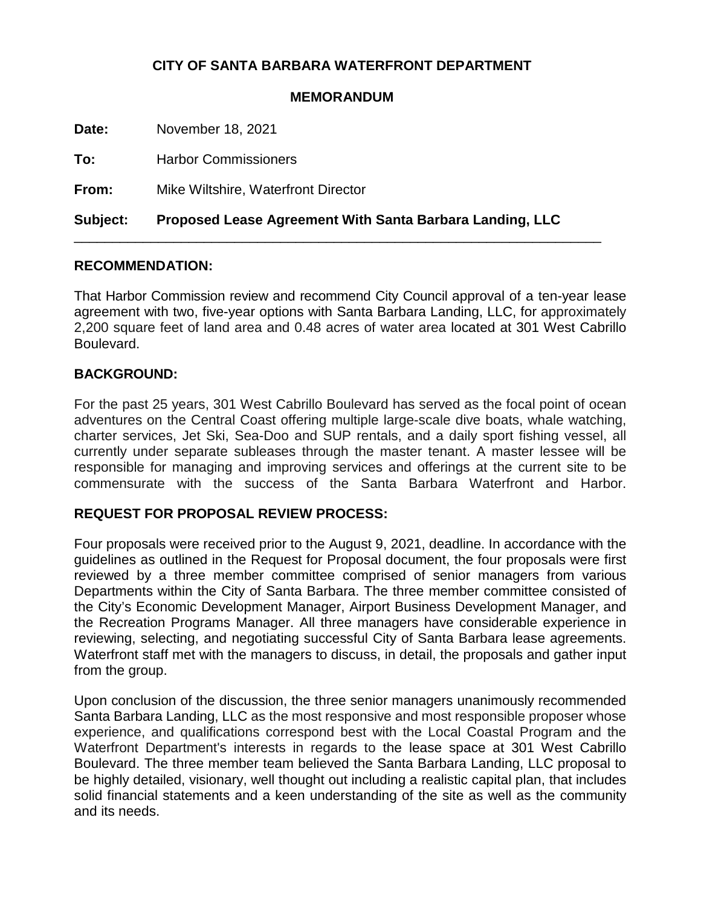# **CITY OF SANTA BARBARA WATERFRONT DEPARTMENT**

#### **MEMORANDUM**

**Date:** November 18, 2021

**To:** Harbor Commissioners

**From:** Mike Wiltshire, Waterfront Director

**Subject: Proposed Lease Agreement With Santa Barbara Landing, LLC**

\_\_\_\_\_\_\_\_\_\_\_\_\_\_\_\_\_\_\_\_\_\_\_\_\_\_\_\_\_\_\_\_\_\_\_\_\_\_\_\_\_\_\_\_\_\_\_\_\_\_\_\_\_\_\_\_\_\_\_\_\_\_\_\_\_\_\_\_\_

### **RECOMMENDATION:**

That Harbor Commission review and recommend City Council approval of a ten-year lease agreement with two, five-year options with Santa Barbara Landing, LLC, for approximately 2,200 square feet of land area and 0.48 acres of water area located at 301 West Cabrillo Boulevard.

## **BACKGROUND:**

For the past 25 years, 301 West Cabrillo Boulevard has served as the focal point of ocean adventures on the Central Coast offering multiple large-scale dive boats, whale watching, charter services, Jet Ski, Sea-Doo and SUP rentals, and a daily sport fishing vessel, all currently under separate subleases through the master tenant. A master lessee will be responsible for managing and improving services and offerings at the current site to be commensurate with the success of the Santa Barbara Waterfront and Harbor.

## **REQUEST FOR PROPOSAL REVIEW PROCESS:**

Four proposals were received prior to the August 9, 2021, deadline. In accordance with the guidelines as outlined in the Request for Proposal document, the four proposals were first reviewed by a three member committee comprised of senior managers from various Departments within the City of Santa Barbara. The three member committee consisted of the City's Economic Development Manager, Airport Business Development Manager, and the Recreation Programs Manager. All three managers have considerable experience in reviewing, selecting, and negotiating successful City of Santa Barbara lease agreements. Waterfront staff met with the managers to discuss, in detail, the proposals and gather input from the group.

Upon conclusion of the discussion, the three senior managers unanimously recommended Santa Barbara Landing, LLC as the most responsive and most responsible proposer whose experience, and qualifications correspond best with the Local Coastal Program and the Waterfront Department's interests in regards to the lease space at 301 West Cabrillo Boulevard. The three member team believed the Santa Barbara Landing, LLC proposal to be highly detailed, visionary, well thought out including a realistic capital plan, that includes solid financial statements and a keen understanding of the site as well as the community and its needs.